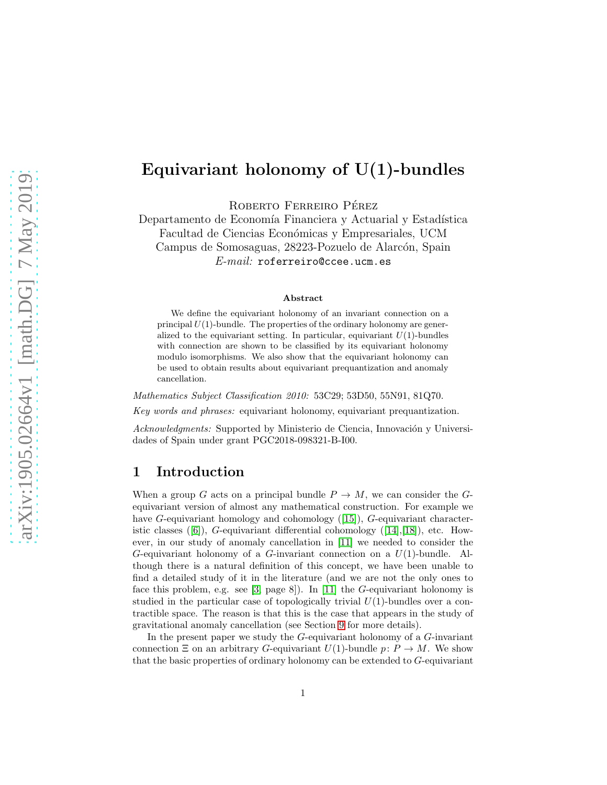# Equivariant holonomy of U(1)-bundles

ROBERTO FERREIRO PÉREZ

Departamento de Economía Financiera y Actuarial y Estadística Facultad de Ciencias Económicas y Empresariales, UCM Campus de Somosaguas, 28223-Pozuelo de Alarcón, Spain E-mail: roferreiro@ccee.ucm.es

#### Abstract

We define the equivariant holonomy of an invariant connection on a principal  $U(1)$ -bundle. The properties of the ordinary holonomy are generalized to the equivariant setting. In particular, equivariant  $U(1)$ -bundles with connection are shown to be classified by its equivariant holonomy modulo isomorphisms. We also show that the equivariant holonomy can be used to obtain results about equivariant prequantization and anomaly cancellation.

Mathematics Subject Classification 2010: 53C29; 53D50, 55N91, 81Q70.

Key words and phrases: equivariant holonomy, equivariant prequantization.

Acknowledgments: Supported by Ministerio de Ciencia, Innovación y Universidades of Spain under grant PGC2018-098321-B-I00.

# 1 Introduction

When a group G acts on a principal bundle  $P \to M$ , we can consider the Gequivariant version of almost any mathematical construction. For example we have G-equivariant homology and cohomology ([\[15\]](#page-14-0)), G-equivariant characteristic classes  $([6])$  $([6])$  $([6])$ , G-equivariant differential cohomology  $([14],[18])$  $([14],[18])$  $([14],[18])$  $([14],[18])$  $([14],[18])$ , etc. However, in our study of anomaly cancellation in [\[11\]](#page-14-3) we needed to consider the G-equivariant holonomy of a G-invariant connection on a  $U(1)$ -bundle. Although there is a natural definition of this concept, we have been unable to find a detailed study of it in the literature (and we are not the only ones to face this problem, e.g. see [\[3,](#page-14-4) page 8]). In [\[11\]](#page-14-3) the G-equivariant holonomy is studied in the particular case of topologically trivial  $U(1)$ -bundles over a contractible space. The reason is that this is the case that appears in the study of gravitational anomaly cancellation (see Section [9](#page-12-0) for more details).

In the present paper we study the  $G$ -equivariant holonomy of a  $G$ -invariant connection  $\Xi$  on an arbitrary G-equivariant  $U(1)$ -bundle  $p: P \to M$ . We show that the basic properties of ordinary holonomy can be extended to G-equivariant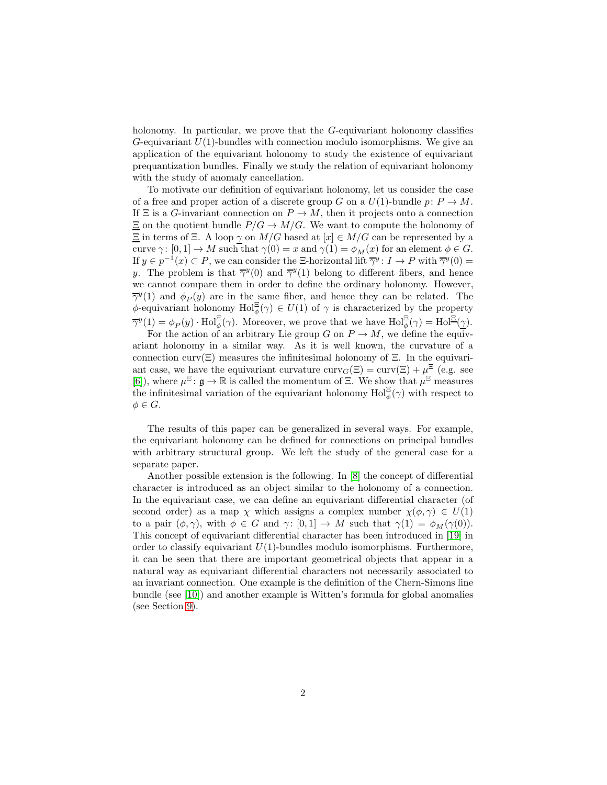holonomy. In particular, we prove that the G-equivariant holonomy classifies  $G$ -equivariant  $U(1)$ -bundles with connection modulo isomorphisms. We give an application of the equivariant holonomy to study the existence of equivariant prequantization bundles. Finally we study the relation of equivariant holonomy with the study of anomaly cancellation.

To motivate our definition of equivariant holonomy, let us consider the case of a free and proper action of a discrete group G on a  $U(1)$ -bundle  $p: P \to M$ . If  $\Xi$  is a G-invariant connection on  $P \to M$ , then it projects onto a connection  $\Xi$  on the quotient bundle  $P/G \to M/G$ . We want to compute the holonomy of  $\Xi$  in terms of  $\Xi$ . A loop  $\gamma$  on  $M/G$  based at  $[x] \in M/G$  can be represented by a curve  $\gamma: [0, 1] \to M$  such that  $\gamma(0) = x$  and  $\gamma(1) = \phi_M(x)$  for an element  $\phi \in G$ . If  $y \in p^{-1}(x) \subset P$ , we can consider the  $\Xi$ -horizontal lift  $\overline{\gamma}^y : I \to P$  with  $\overline{\gamma}^y(0) =$ y. The problem is that  $\overline{\gamma}^y(0)$  and  $\overline{\gamma}^y(1)$  belong to different fibers, and hence we cannot compare them in order to define the ordinary holonomy. However,  $\overline{\gamma}^{y}(1)$  and  $\phi_{P}(y)$  are in the same fiber, and hence they can be related. The  $\phi$ -equivariant holonomy  $\text{Hol}_{\phi}^{\Xi}(\gamma) \in U(1)$  of  $\gamma$  is characterized by the property  $\overline{\gamma}^y(1) = \phi_P(y) \cdot \text{Hol}_{\phi}^{\Xi}(\gamma)$ . Moreover, we prove that we have  $\text{Hol}_{\phi}^{\Xi}(\gamma) = \text{Hol}_{\Xi}^{\Xi}(\gamma)$ .

For the action of an arbitrary Lie group G on  $P \to M$ , we define the equivariant holonomy in a similar way. As it is well known, the curvature of a connection curv( $\Xi$ ) measures the infinitesimal holonomy of  $\Xi$ . In the equivariant case, we have the equivariant curvature  $\text{curv}_G(\Xi) = \text{curv}(\Xi) + \mu^{\Xi}$  (e.g. see [\[6\]](#page-14-1)), where  $\mu^{\Xi}$ :  $\mathfrak{g} \to \mathbb{R}$  is called the momentum of  $\Xi$ . We show that  $\mu^{\Xi}$  measures the infinitesimal variation of the equivariant holonomy  $\text{Hol}^{\Xi}_{\phi}(\gamma)$  with respect to  $\phi \in G$ .

The results of this paper can be generalized in several ways. For example, the equivariant holonomy can be defined for connections on principal bundles with arbitrary structural group. We left the study of the general case for a separate paper.

Another possible extension is the following. In [\[8\]](#page-14-5) the concept of differential character is introduced as an object similar to the holonomy of a connection. In the equivariant case, we can define an equivariant differential character (of second order) as a map  $\chi$  which assigns a complex number  $\chi(\phi, \gamma) \in U(1)$ to a pair  $(\phi, \gamma)$ , with  $\phi \in G$  and  $\gamma : [0, 1] \to M$  such that  $\gamma(1) = \phi_M(\gamma(0))$ . This concept of equivariant differential character has been introduced in [\[19\]](#page-15-1) in order to classify equivariant  $U(1)$ -bundles modulo isomorphisms. Furthermore, it can be seen that there are important geometrical objects that appear in a natural way as equivariant differential characters not necessarily associated to an invariant connection. One example is the definition of the Chern-Simons line bundle (see [\[10\]](#page-14-6)) and another example is Witten's formula for global anomalies (see Section [9\)](#page-12-0).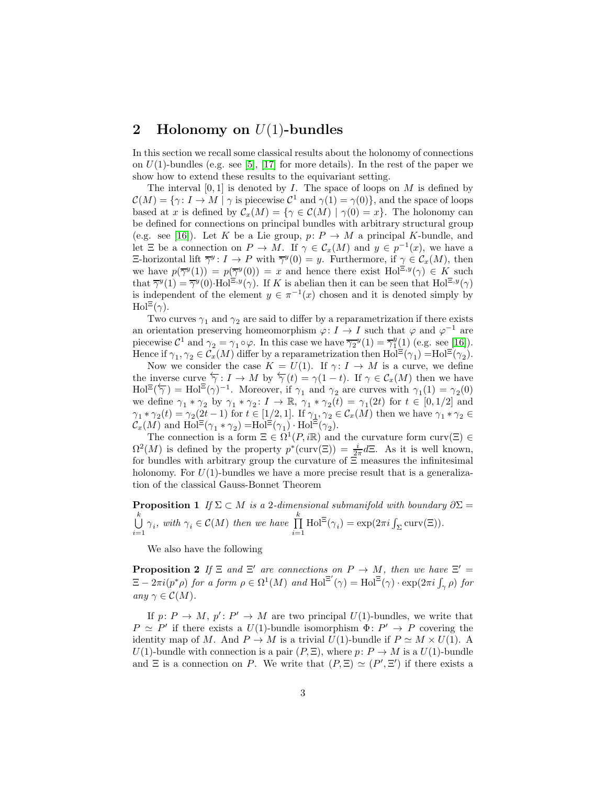# <span id="page-2-2"></span>2 Holonomy on  $U(1)$ -bundles

In this section we recall some classical results about the holonomy of connections on  $U(1)$ -bundles (e.g. see [\[5\]](#page-14-7), [\[17\]](#page-15-2) for more details). In the rest of the paper we show how to extend these results to the equivariant setting.

The interval  $[0, 1]$  is denoted by I. The space of loops on M is defined by  $\mathcal{C}(M) = \{ \gamma : I \to M \mid \gamma \text{ is piecewise } C^1 \text{ and } \gamma(1) = \gamma(0) \},\$ and the space of loops based at x is defined by  $\mathcal{C}_x(M) = \{ \gamma \in \mathcal{C}(M) \mid \gamma(0) = x \}.$  The holonomy can be defined for connections on principal bundles with arbitrary structural group (e.g. see [\[16\]](#page-15-3)). Let K be a Lie group,  $p: P \to M$  a principal K-bundle, and let  $\Xi$  be a connection on  $P \to M$ . If  $\gamma \in \mathcal{C}_x(M)$  and  $y \in p^{-1}(x)$ , we have a E-horizontal lift  $\overline{\gamma}^y: I \to P$  with  $\overline{\gamma}^y(0) = y$ . Furthermore, if  $\gamma \in C_x(M)$ , then we have  $p(\overline{\gamma}^y(1)) = p(\overline{\gamma}^y(0)) = x$  and hence there exist  $Hol^{\Xi, y}(\gamma) \in K$  such that  $\overline{\gamma}^y(1) = \overline{\gamma}^y(0) \cdot \text{Hol}^{\Xi, y}(\gamma)$ . If K is abelian then it can be seen that  $\text{Hol}^{\Xi, y}(\gamma)$ is independent of the element  $y \in \pi^{-1}(x)$  chosen and it is denoted simply by  $\text{Hol}^{\Xi}(\gamma)$ .

Two curves  $\gamma_1$  and  $\gamma_2$  are said to differ by a reparametrization if there exists an orientation preserving homeomorphism  $\varphi: I \to I$  such that  $\varphi$  and  $\varphi^{-1}$  are piecewise  $C^1$  and  $\gamma_2 = \gamma_1 \circ \varphi$ . In this case we have  $\overline{\gamma_2}^y(1) = \overline{\gamma_1}^y(1)$  (e.g. see [\[16\]](#page-15-3)). Hence if  $\gamma_1, \gamma_2 \in C_x(M)$  differ by a reparametrization then  $Hol^{\Xi}(\gamma_1) = Hol^{\Xi}(\gamma_2)$ .

Now we consider the case  $K = U(1)$ . If  $\gamma: I \to M$  is a curve, we define the inverse curve  $\overleftarrow{\gamma}: I \to M$  by  $\overleftarrow{\gamma}(t) = \gamma(1-t)$ . If  $\gamma \in C_x(M)$  then we have  $\text{Hol}^{\Xi}(\overleftarrow{\gamma}) = \text{Hol}^{\Xi}(\gamma)^{-1}$ . Moreover, if  $\gamma_1$  and  $\gamma_2$  are curves with  $\gamma_1(1) = \gamma_2(0)$ we define  $\gamma_1 * \gamma_2$  by  $\gamma_1 * \gamma_2 : I \to \mathbb{R}, \gamma_1 * \gamma_2(t) = \gamma_1(2t)$  for  $t \in [0, 1/2]$  and  $\gamma_1 * \gamma_2(t) = \gamma_2(2t-1)$  for  $t \in [1/2, 1]$ . If  $\gamma_1, \gamma_2 \in C_x(M)$  then we have  $\gamma_1 * \gamma_2 \in$  $\mathcal{C}_x(M)$  and  $\text{Hol}^{\Xi}(\gamma_1 * \gamma_2) = \text{Hol}^{\Xi}(\gamma_1) \cdot \text{Hol}^{\Xi}(\gamma_2).$ 

The connection is a form  $\Xi \in \Omega^1(P, i\mathbb{R})$  and the curvature form curv $(\Xi) \in$  $\Omega^2(M)$  is defined by the property  $p^*(curv(\Xi)) = \frac{i}{2\pi}d\Xi$ . As it is well known, for bundles with arbitrary group the curvature of  $\Xi$  measures the infinitesimal holonomy. For  $U(1)$ -bundles we have a more precise result that is a generalization of the classical Gauss-Bonnet Theorem

<span id="page-2-1"></span>**Proposition 1** If  $\Sigma \subset M$  is a 2-dimensional submanifold with boundary  $\partial \Sigma$  =  $\bigcup^k$  $\bigcup_{i=1}^k \gamma_i$ , with  $\gamma_i \in \mathcal{C}(M)$  then we have  $\prod_{i=1}^k$  $i=1$  $\text{Hol}^{\Xi}(\gamma_i) = \exp(2\pi i \int_{\Sigma} \text{curv}(\Xi)).$ 

<span id="page-2-0"></span>We also have the following

**Proposition 2** If  $\Xi$  and  $\Xi'$  are connections on  $P \to M$ , then we have  $\Xi' =$  $\Xi - 2\pi i (p^*\rho)$  for a form  $\rho \in \Omega^1(M)$  and  $\text{Hol}^{\Xi'}(\gamma) = \text{Hol}^{\Xi'}(\gamma) \cdot \exp(2\pi i \int_{\gamma} \rho)$  for any  $\gamma \in \mathcal{C}(M)$ .

If  $p: P \to M$ ,  $p': P' \to M$  are two principal  $U(1)$ -bundles, we write that  $P \simeq P'$  if there exists a  $U(1)$ -bundle isomorphism  $\Phi: P' \to P$  covering the identity map of M. And  $P \to M$  is a trivial  $U(1)$ -bundle if  $P \simeq M \times U(1)$ . A U(1)-bundle with connection is a pair  $(P, \Xi)$ , where  $p: P \to M$  is a  $U(1)$ -bundle and  $\Xi$  is a connection on P. We write that  $(P, \Xi) \simeq (P', \Xi')$  if there exists a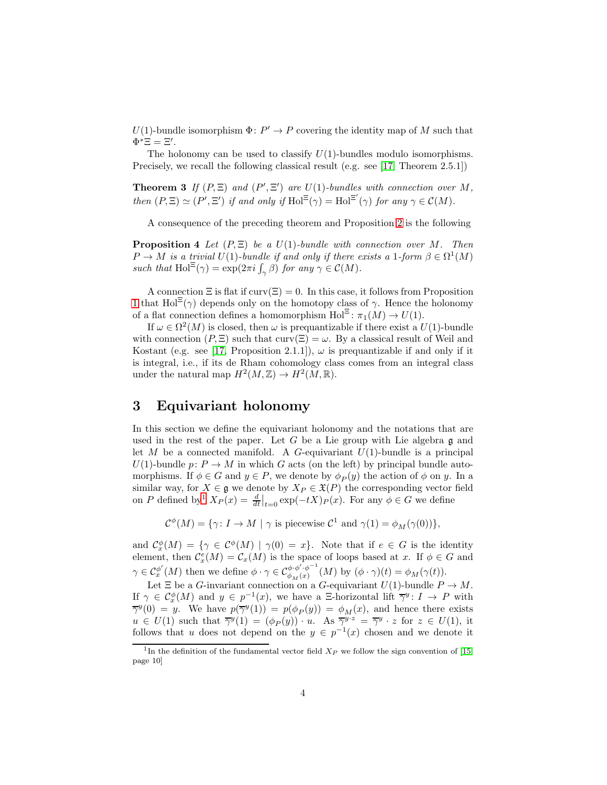$U(1)$ -bundle isomorphism  $\Phi: P' \to P$  covering the identity map of M such that  $\Phi^* \Xi = \Xi'.$ 

<span id="page-3-1"></span>The holonomy can be used to classify  $U(1)$ -bundles modulo isomorphisms. Precisely, we recall the following classical result (e.g. see [\[17,](#page-15-2) Theorem 2.5.1])

**Theorem 3** If  $(P, \Xi)$  and  $(P', \Xi')$  are  $U(1)$ -bundles with connection over M, then  $(P, \Xi) \simeq (P', \Xi')$  if and only if  $\text{Hol}^{\Xi}(\gamma) = \text{Hol}^{\Xi'}(\gamma)$  for any  $\gamma \in \mathcal{C}(M)$ .

A consequence of the preceding theorem and Proposition [2](#page-2-0) is the following

**Proposition 4** Let  $(P, \Xi)$  be a  $U(1)$ -bundle with connection over M. Then  $P \to M$  is a trivial  $U(1)$ -bundle if and only if there exists a 1-form  $\beta \in \Omega^1(M)$ such that  $\text{Hol}^{\Xi}(\gamma) = \exp(2\pi i \int_{\gamma} \beta)$  for any  $\gamma \in \mathcal{C}(M)$ .

A connection  $\Xi$  is flat if  $curv(\Xi) = 0$ . In this case, it follows from Proposition [1](#page-2-1) that  $Hol^{\Xi}(\gamma)$  depends only on the homotopy class of  $\gamma$ . Hence the holonomy of a flat connection defines a homomorphism  $\text{Hol}^{\Xi} \colon \pi_1(M) \to U(1)$ .

If  $\omega \in \Omega^2(M)$  is closed, then  $\omega$  is prequantizable if there exist a  $U(1)$ -bundle with connection  $(P, \Xi)$  such that curv $(\Xi) = \omega$ . By a classical result of Weil and Kostant (e.g. see [\[17,](#page-15-2) Proposition 2.1.1]),  $\omega$  is prequantizable if and only if it is integral, i.e., if its de Rham cohomology class comes from an integral class under the natural map  $H^2(M, \mathbb{Z}) \to H^2(M, \mathbb{R})$ .

# 3 Equivariant holonomy

In this section we define the equivariant holonomy and the notations that are used in the rest of the paper. Let  $G$  be a Lie group with Lie algebra  $\mathfrak g$  and let M be a connected manifold. A G-equivariant  $U(1)$ -bundle is a principal  $U(1)$ -bundle  $p: P \to M$  in which G acts (on the left) by principal bundle automorphisms. If  $\phi \in G$  and  $y \in P$ , we denote by  $\phi_P(y)$  the action of  $\phi$  on y. In a similar way, for  $X \in \mathfrak{g}$  we denote by  $X_P \in \mathfrak{X}(P)$  the corresponding vector field on P defined by<sup>[1](#page-3-0)</sup>  $X_P(x) = \frac{d}{dt}\big|_{t=0} \exp(-tX)P(x)$ . For any  $\phi \in G$  we define

 $\mathcal{C}^{\phi}(M) = \{ \gamma \colon I \to M \mid \gamma \text{ is piecewise } \mathcal{C}^1 \text{ and } \gamma(1) = \phi_M(\gamma(0)) \},$ 

and  $\mathcal{C}_{x}^{\phi}(M) = \{ \gamma \in \mathcal{C}^{\phi}(M) \mid \gamma(0) = x \}.$  Note that if  $e \in G$  is the identity element, then  $C_x^e(M) = C_x(M)$  is the space of loops based at x. If  $\phi \in G$  and  $\gamma\in\mathcal{C}_x^{\phi'}$  $\phi'(M)$  then we define  $\phi \cdot \gamma \in C^{\phi \cdot \phi' \cdot \phi^{-1}}_{\phi_M(x)}$  $\phi_{M}(x) \phi_{M}(x)$  (*M*) by  $(\phi \cdot \gamma)(t) = \phi_{M}(\gamma(t)).$ 

Let  $\Xi$  be a *G*-invariant connection on a *G*-equivariant  $U(1)$ -bundle  $P \to M$ . If  $\gamma \in C_x^{\phi}(M)$  and  $y \in p^{-1}(x)$ , we have a  $\Xi$ -horizontal lift  $\overline{\gamma}^y: I \to P$  with  $\overline{\gamma}^y(0) = y$ . We have  $p(\overline{\gamma}^y(1)) = p(\phi_P(y)) = \phi_M(x)$ , and hence there exists  $u \in U(1)$  such that  $\overline{\gamma}^y(1) = (\phi_P(y)) \cdot u$ . As  $\overline{\gamma}^{y \cdot z} = \overline{\gamma}^y \cdot z$  for  $z \in U(1)$ , it follows that u does not depend on the  $y \in p^{-1}(x)$  chosen and we denote it

<span id="page-3-0"></span><sup>&</sup>lt;sup>1</sup>In the definition of the fundamental vector field  $X_P$  we follow the sign convention of [\[15,](#page-14-0) page 10]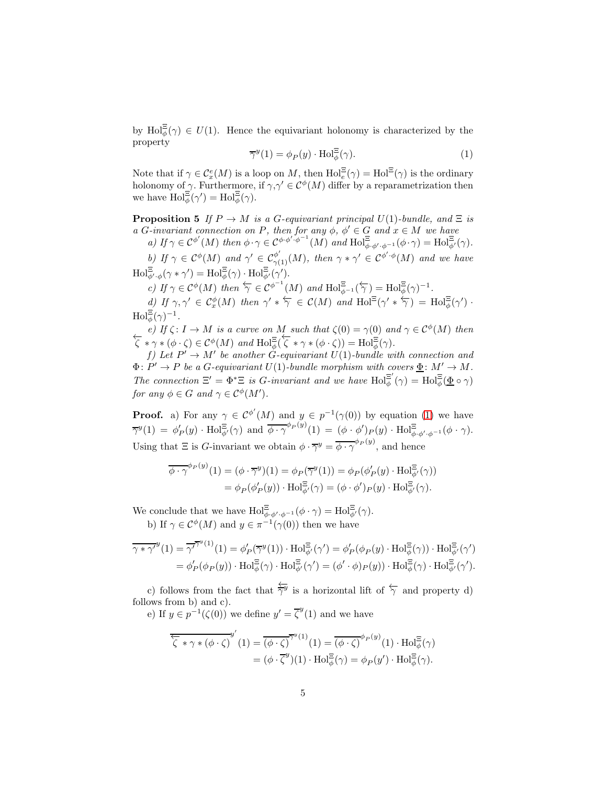by  $\text{Hol}_{\phi}^{\Xi}(\gamma) \in U(1)$ . Hence the equivariant holonomy is characterized by the property

<span id="page-4-0"></span>
$$
\overline{\gamma}^y(1) = \phi_P(y) \cdot \text{Hol}_{\phi}^{\Xi}(\gamma). \tag{1}
$$

Note that if  $\gamma \in C_x^e(M)$  is a loop on M, then  $\text{Hol}_e^{\Xi}(\gamma) = \text{Hol}^{\Xi}(\gamma)$  is the ordinary holonomy of  $\gamma$ . Furthermore, if  $\gamma, \gamma' \in C^{\phi}(M)$  differ by a reparametrization then we have  $\text{Hol}_{\phi}^{\Xi}(\gamma') = \text{Hol}_{\phi}^{\Xi}(\gamma)$ .

<span id="page-4-1"></span>**Proposition 5** If  $P \to M$  is a G-equivariant principal  $U(1)$ -bundle, and  $\Xi$  is a G-invariant connection on P, then for any  $\phi$ ,  $\phi' \in G$  and  $x \in M$  we have

a) If  $\gamma \in C^{\phi'}(M)$  then  $\phi \cdot \gamma \in C^{\phi \cdot \phi' \cdot \phi^{-1}}(M)$  and  $\text{Hol}_{\phi \cdot \phi' \cdot \phi^{-1}}^{\Xi}(\phi \cdot \gamma) = \text{Hol}_{\phi'}^{\Xi}(\gamma)$ .

b) If  $\gamma \in C^{\phi}(M)$  and  $\gamma' \in C^{\phi'}_{\gamma(1)}(M)$ , then  $\gamma * \gamma' \in C^{\phi' \cdot \phi}(M)$  and we have  $\mathrm{Hol}^{\Xi}_{\phi',\phi}(\gamma * \gamma') = \mathrm{Hol}^{\Xi}_{\phi}(\gamma) \cdot \mathrm{Hol}^{\Xi}_{\phi'}(\gamma').$ 

c) If  $\gamma \in C^{\phi}(M)$  then  $\overleftarrow{\gamma} \in C^{\phi^{-1}}(M)$  and  $\text{Hol}^{\Xi}_{\phi^{-1}}(\overleftarrow{\gamma}) = \text{Hol}^{\Xi}_{\phi}(\gamma)^{-1}$ .

d) If  $\gamma, \gamma' \in C_x^{\phi}(M)$  then  $\gamma' * \overleftarrow{\gamma} \in C(M)$  and  $\text{Hol}^{\Xi}(\gamma' * \overleftarrow{\gamma}) = \text{Hol}_{\phi}^{\Xi}(\gamma')$ .  $\text{Hol}_{\phi}^{\Xi}(\gamma)^{-1}.$ 

e) If  $\zeta : I \to M$  is a curve on M such that  $\zeta(0) = \gamma(0)$  and  $\gamma \in C^{\phi}(M)$  then  $\zeta * \gamma * (\phi \cdot \zeta) \in C^{\phi}(M)$  and  $\text{Hol}_{\phi}^{\Xi}(\overline{\zeta} * \gamma * (\phi \cdot \zeta)) = \text{Hol}_{\phi}^{\Xi}(\gamma)$ .

f) Let  $P' \to M'$  be another G-equivariant  $U(1)$ -bundle with connection and  $\Phi \colon P' \to P$  be a G-equivariant  $U(1)$ -bundle morphism with covers  $\underline{\Phi} \colon M' \to M$ . The connection  $\Xi' = \Phi^* \Xi$  is G-invariant and we have  $\text{Hol}^{\Xi'}_{\phi}$  $\mathbb{E}^{'}(\gamma) = \operatorname{Hol}^{\Xi}_{\phi}(\underline{\Phi} \circ \gamma)$ for any  $\phi \in G$  and  $\gamma \in C^{\phi}(M')$ .

**Proof.** a) For any  $\gamma \in C^{\phi'}(M)$  and  $y \in p^{-1}(\gamma(0))$  by equation [\(1\)](#page-4-0) we have  $\overline{\gamma}^y(1) = \phi'_P(y) \cdot \text{Hol}_{\phi'}^{\Xi}(\gamma) \text{ and } \overline{\phi \cdot \gamma}^{\phi_P(y)}(1) = (\phi \cdot \phi')_P(y) \cdot \text{Hol}_{\phi \cdot \phi' \cdot \phi^{-1}}^{\Xi}(\phi \cdot \gamma).$ Using that  $\Xi$  is *G*-invariant we obtain  $\phi \cdot \overline{\gamma}^y = \overline{\phi \cdot \gamma}^{\phi_P(y)}$ , and hence

$$
\overline{\phi \cdot \gamma}^{\phi_P(y)}(1) = (\phi \cdot \overline{\gamma}^y)(1) = \phi_P(\overline{\gamma}^y(1)) = \phi_P(\phi'_P(y) \cdot \text{Hol}_{\phi'}^{\Xi}(\gamma))
$$

$$
= \phi_P(\phi'_P(y)) \cdot \text{Hol}_{\phi'}^{\Xi}(\gamma) = (\phi \cdot \phi')_P(y) \cdot \text{Hol}_{\phi'}^{\Xi}(\gamma).
$$

We conclude that we have  $\text{Hol}^{\Xi}_{\phi \cdot \phi' \cdot \phi^{-1}}(\phi \cdot \gamma) = \text{Hol}^{\Xi}_{\phi'}(\gamma)$ . b) If  $\gamma \in C^{\phi}(M)$  and  $y \in \pi^{-1}(\gamma(0))$  then we have

$$
\overline{\gamma * \gamma'}^{y}(1) = \overline{\gamma'}^{\overline{\gamma}^{y}(1)}(1) = \phi'_{P}(\overline{\gamma}^{y}(1)) \cdot \text{Hol}_{\phi'}^{\Xi}(\gamma') = \phi'_{P}(\phi_{P}(y) \cdot \text{Hol}_{\phi}^{\Xi}(\gamma)) \cdot \text{Hol}_{\phi'}^{\Xi}(\gamma')
$$

$$
= \phi'_{P}(\phi_{P}(y)) \cdot \text{Hol}_{\phi}^{\Xi}(\gamma) \cdot \text{Hol}_{\phi'}^{\Xi}(\gamma') = (\phi' \cdot \phi)_{P}(y)) \cdot \text{Hol}_{\phi}^{\Xi}(\gamma) \cdot \text{Hol}_{\phi'}^{\Xi}(\gamma').
$$

c) follows from the fact that  $\frac{\leftarrow}{\gamma}$  is a horizontal lift of  $\overleftarrow{\gamma}$  and property d) follows from b) and c).

e) If  $y \in p^{-1}(\zeta(0))$  we define  $y' = \overline{\zeta}^y(1)$  and we have

$$
\overleftarrow{\zeta} * \gamma * (\phi \cdot \zeta)^{y'} (1) = \overrightarrow{(\phi \cdot \zeta)}^{\gamma y} (1) = \overrightarrow{(\phi \cdot \zeta)}^{\phi_P(y)} (1) \cdot \text{Hol}_{\phi}^{\Xi}(\gamma)
$$

$$
= (\phi \cdot \overrightarrow{\zeta}^{y})(1) \cdot \text{Hol}_{\phi}^{\Xi}(\gamma) = \phi_P(y') \cdot \text{Hol}_{\phi}^{\Xi}(\gamma).
$$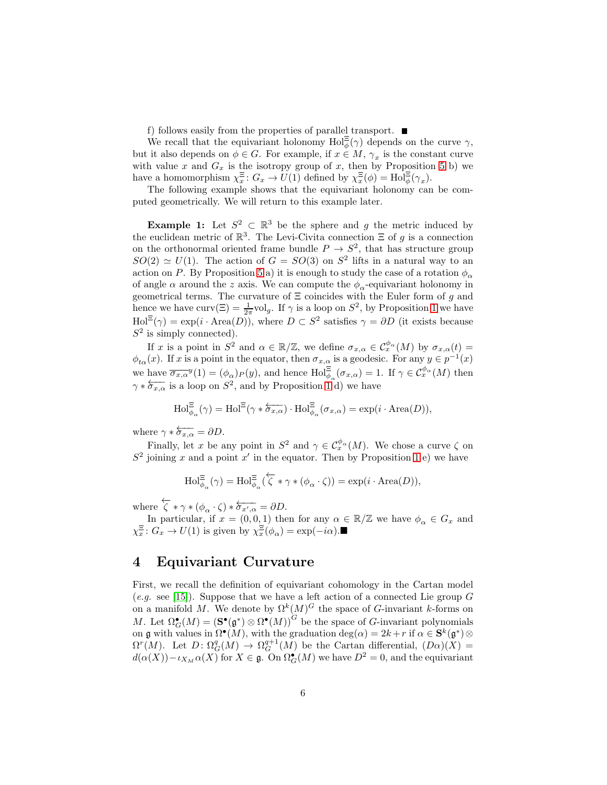f) follows easily from the properties of parallel transport.  $\blacksquare$ 

We recall that the equivariant holonomy  $\text{Hol}^{\Xi}_{\phi}(\gamma)$  depends on the curve  $\gamma$ , but it also depends on  $\phi \in G$ . For example, if  $x \in M$ ,  $\gamma_x$  is the constant curve with value x and  $G_x$  is the isotropy group of x, then by Proposition [5](#page-4-1) b) we have a homomorphism  $\chi_x^{\Xi}$ :  $G_x \to U(1)$  defined by  $\chi_x^{\Xi}(\phi) = Hol_{\phi}^{\Xi}(\gamma_x)$ .

The following example shows that the equivariant holonomy can be computed geometrically. We will return to this example later.

**Example 1:** Let  $S^2 \subset \mathbb{R}^3$  be the sphere and g the metric induced by the euclidean metric of  $\mathbb{R}^3$ . The Levi-Civita connection  $\Xi$  of g is a connection on the orthonormal oriented frame bundle  $P \to S^2$ , that has structure group  $SO(2) \simeq U(1)$ . The action of  $G = SO(3)$  on  $S^2$  lifts in a natural way to an action on P. By Proposition [5](#page-4-1) a) it is enough to study the case of a rotation  $\phi_{\alpha}$ of angle  $\alpha$  around the z axis. We can compute the  $\phi_{\alpha}$ -equivariant holonomy in geometrical terms. The curvature of  $\Xi$  coincides with the Euler form of g and hence we have  $\text{curv}(\Xi) = \frac{1}{2\pi} \text{vol}_g$ . If  $\gamma$  is a loop on  $S^2$ , by Proposition [1](#page-2-1) we have  $\text{Hol}^{\Xi}(\gamma) = \exp(i \cdot \text{Area}(D)),$  where  $D \subset S^2$  satisfies  $\gamma = \partial D$  (it exists because  $S^2$  is simply connected).

If x is a point in  $S^2$  and  $\alpha \in \mathbb{R}/\mathbb{Z}$ , we define  $\sigma_{x,\alpha} \in C_x^{\phi_\alpha}(M)$  by  $\sigma_{x,\alpha}(t) =$  $\phi_{t\alpha}(x)$ . If x is a point in the equator, then  $\sigma_{x,\alpha}$  is a geodesic. For any  $y \in p^{-1}(x)$ we have  $\overline{\sigma_{x,\alpha}}^y(1) = (\phi_\alpha)_P(y)$ , and hence  $\text{Hol}_{\phi_\alpha}^{\Xi}(\sigma_{x,\alpha}) = 1$ . If  $\gamma \in C_x^{\phi_\alpha}(M)$  then  $\gamma * \overleftarrow{\sigma_{x,\alpha}}$  is a loop on  $S^2$ , and by Proposition [1](#page-2-1) d) we have

$$
\mathrm{Hol}^{\Xi}_{\phi_{\alpha}}(\gamma) = \mathrm{Hol}^{\Xi}(\gamma * \overleftarrow{\sigma_{x,\alpha}}) \cdot \mathrm{Hol}^{\Xi}_{\phi_{\alpha}}(\sigma_{x,\alpha}) = \exp(i \cdot \mathrm{Area}(D)),
$$

where  $\gamma * \overleftarrow{\sigma_{x,\alpha}} = \partial D$ .

Finally, let x be any point in  $S^2$  and  $\gamma \in C_x^{\phi_\alpha}(M)$ . We chose a curve  $\zeta$  on  $S^2$  joining x and a point x' in the equator. Then by Proposition [1](#page-2-1) e) we have

$$
\mathrm{Hol}^{\Xi}_{\phi_{\alpha}}(\gamma)=\mathrm{Hol}^{\Xi}_{\phi_{\alpha}}(\overleftarrow{\zeta}*\gamma*(\phi_{\alpha}\cdot\zeta))=\exp(i\cdot\mathrm{Area}(D)),
$$

where  $\overleftarrow{\zeta} * \gamma * (\phi_{\alpha} \cdot \zeta) * \overleftarrow{\sigma_{x',\alpha}} = \partial D.$ 

In particular, if  $x = (0, 0, 1)$  then for any  $\alpha \in \mathbb{R}/\mathbb{Z}$  we have  $\phi_{\alpha} \in G_x$  and  $\chi_{x}^{\Xi}: G_{x} \to U(1)$  is given by  $\chi_{x}^{\Xi}(\phi_{\alpha}) = \exp(-i\alpha)$ .

# 4 Equivariant Curvature

First, we recall the definition of equivariant cohomology in the Cartan model (e.g. see [\[15\]](#page-14-0)). Suppose that we have a left action of a connected Lie group  $G$ on a manifold M. We denote by  $\Omega^k(M)^G$  the space of G-invariant k-forms on M. Let  $\Omega_G^{\bullet}(M) = (\mathbf{S}^{\bullet}(\mathfrak{g}^*) \otimes \Omega^{\bullet}(M))^G$  be the space of G-invariant polynomials on g with values in  $\Omega^{\bullet}(M)$ , with the graduation  $\deg(\alpha) = 2k + r$  if  $\alpha \in S^k(\mathfrak{g}^*)\otimes$  $\Omega^{r}(M)$ . Let  $D \colon \Omega_{G}^{q}(M) \to \Omega_{G}^{q+1}(M)$  be the Cartan differential,  $(D\alpha)(X) =$  $d(\alpha(X)) - \iota_{X_M} \alpha(X)$  for  $X \in \mathfrak{g}$ . On  $\Omega_G^{\bullet}(M)$  we have  $D^2 = 0$ , and the equivariant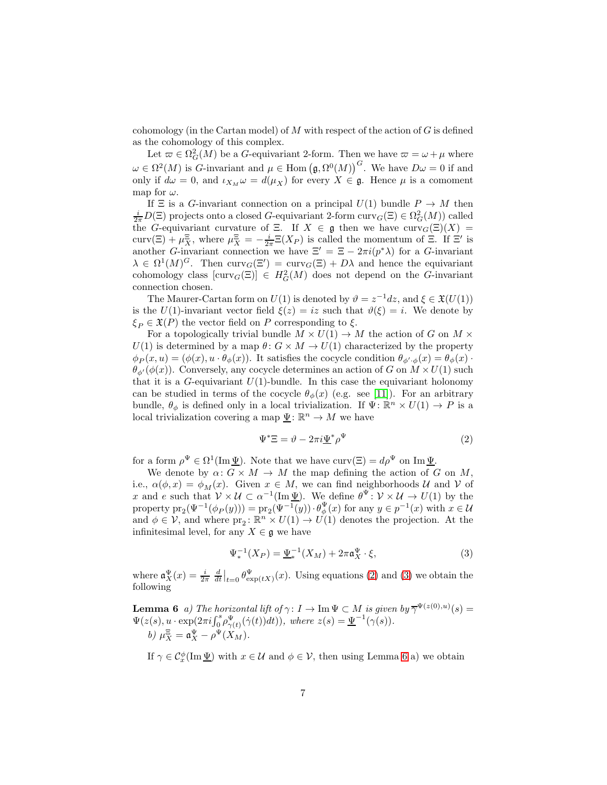cohomology (in the Cartan model) of  $M$  with respect of the action of  $G$  is defined as the cohomology of this complex.

Let  $\varpi \in \Omega^2_G(M)$  be a G-equivariant 2-form. Then we have  $\varpi = \omega + \mu$  where  $\omega \in \Omega^2(M)$  is G-invariant and  $\mu \in \text{Hom}(\mathfrak{g}, \Omega^0(M))^G$ . We have  $D\omega = 0$  if and only if  $d\omega = 0$ , and  $\iota_{X_M}\omega = d(\mu_X)$  for every  $X \in \mathfrak{g}$ . Hence  $\mu$  is a comoment map for  $\omega$ .

If  $\Xi$  is a G-invariant connection on a principal  $U(1)$  bundle  $P \to M$  then  $\frac{i}{2\pi}D(\Xi)$  projects onto a closed G-equivariant 2-form curv $_G(\Xi) \in \Omega_G^2(M))$  called the G-equivariant curvature of Ξ. If  $X \in \mathfrak{g}$  then we have  $\text{curv}_G(\Xi)(X) =$ curv(Ξ) +  $\mu_X^{\Xi}$ , where  $\mu_X^{\Xi} = -\frac{i}{2\pi} \Xi(X_P)$  is called the momentum of Ξ. If Ξ' is another G-invariant connection we have  $\Xi' = \Xi - 2\pi i (p^*\lambda)$  for a G-invariant  $\lambda \in \Omega^1(M)^G$ . Then curv $_G(\Xi') = \text{curv}_G(\Xi) + D\lambda$  and hence the equivariant cohomology class  $[\text{curv}_G(\Xi)] \in H^2_G(M)$  does not depend on the G-invariant connection chosen.

The Maurer-Cartan form on  $U(1)$  is denoted by  $\vartheta = z^{-1}dz$ , and  $\xi \in \mathfrak{X}(U(1))$ is the  $U(1)$ -invariant vector field  $\xi(z) = iz$  such that  $\vartheta(\xi) = i$ . We denote by  $\xi_P \in \mathfrak{X}(P)$  the vector field on P corresponding to  $\xi$ .

For a topologically trivial bundle  $M \times U(1) \to M$  the action of G on  $M \times$  $U(1)$  is determined by a map  $\theta: G \times M \to U(1)$  characterized by the property  $\phi_P(x, u) = (\phi(x), u \cdot \theta_{\phi}(x))$ . It satisfies the cocycle condition  $\theta_{\phi', \phi}(x) = \theta_{\phi}(x)$ .  $\theta_{\phi'}(\phi(x))$ . Conversely, any cocycle determines an action of G on  $M \times U(1)$  such that it is a  $G$ -equivariant  $U(1)$ -bundle. In this case the equivariant holonomy can be studied in terms of the cocycle  $\theta_{\phi}(x)$  (e.g. see [\[11\]](#page-14-3)). For an arbitrary bundle,  $\theta_{\phi}$  is defined only in a local trivialization. If  $\Psi: \mathbb{R}^{n} \times U(1) \to P$  is a local trivialization covering a map  $\underline{\Psi} \colon \mathbb{R}^n \to M$  we have

<span id="page-6-0"></span>
$$
\Psi^* \Xi = \vartheta - 2\pi i \underline{\Psi}^* \rho^{\Psi} \tag{2}
$$

for a form  $\rho^{\Psi} \in \Omega^1(\text{Im}\,\underline{\Psi})$ . Note that we have  $\text{curv}(\Xi) = d\rho^{\Psi}$  on  $\text{Im}\,\underline{\Psi}$ .

We denote by  $\alpha: G \times M \to M$  the map defining the action of G on M, i.e.,  $\alpha(\phi, x) = \phi_M(x)$ . Given  $x \in M$ , we can find neighborhoods U and V of x and e such that  $V \times U \subset \alpha^{-1}(\text{Im }\Psi)$ . We define  $\theta^{\Psi} : V \times U \to U(1)$  by the property  $pr_2(\Psi^{-1}(\phi_P(y))) = pr_2(\Psi^{-1}(y)) \cdot \theta_{\phi}^{\Psi}(x)$  for any  $y \in p^{-1}(x)$  with  $x \in \mathcal{U}$ and  $\phi \in \mathcal{V}$ , and where  $pr_2 \colon \mathbb{R}^n \times U(1) \to U(1)$  denotes the projection. At the infinitesimal level, for any  $X \in \mathfrak{g}$  we have

<span id="page-6-1"></span>
$$
\Psi_*^{-1}(X_P) = \underline{\Psi}_*^{-1}(X_M) + 2\pi \mathfrak{a}_X^{\Psi} \cdot \xi,
$$
\n(3)

<span id="page-6-2"></span>where  $\mathfrak{a}_X^{\Psi}(x) = \frac{i}{2\pi} \frac{d}{dt}\Big|_{t=0} \theta_{\exp(tX)}^{\Psi}(x)$ . Using equations [\(2\)](#page-6-0) and [\(3\)](#page-6-1) we obtain the following

**Lemma 6** a) The horizontal lift of  $\gamma: I \to \text{Im } \Psi \subset M$  is given  $by \overline{\gamma}^{\Psi(z(0),u)}(s) =$  $\Psi(z(s), u \cdot \exp(2\pi i \int_0^s \rho_{\gamma(t)}^{\Psi}(\dot{\gamma}(t))dt)),$  where  $z(s) = \underline{\Psi}^{-1}(\gamma(s)).$ b)  $\mu_X^{\Xi} = \mathfrak{a}_X^{\Psi} - \rho^{\Psi}(X_M).$ 

If  $\gamma \in C_x^{\phi}(\text{Im } \underline{\Psi})$  with  $x \in \mathcal{U}$  and  $\phi \in \mathcal{V}$ , then using Lemma [6](#page-6-2) a) we obtain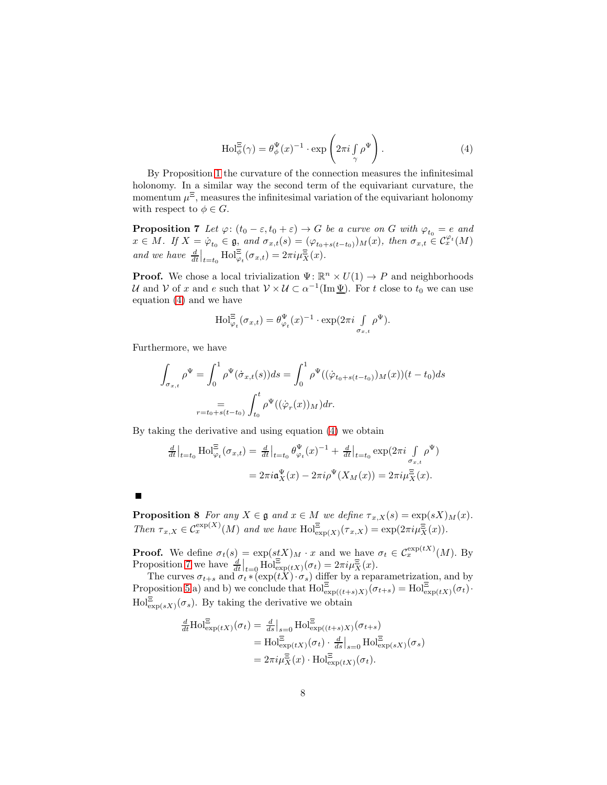<span id="page-7-0"></span>
$$
\mathrm{Hol}_{\phi}^{\Xi}(\gamma) = \theta_{\phi}^{\Psi}(x)^{-1} \cdot \exp\left(2\pi i \int_{\gamma} \rho^{\Psi}\right). \tag{4}
$$

By Proposition [1](#page-2-1) the curvature of the connection measures the infinitesimal holonomy. In a similar way the second term of the equivariant curvature, the momentum  $\mu^{\Xi}$ , measures the infinitesimal variation of the equivariant holonomy with respect to  $\phi \in G$ .

<span id="page-7-1"></span>**Proposition 7** Let  $\varphi$ :  $(t_0 - \varepsilon, t_0 + \varepsilon) \to G$  be a curve on G with  $\varphi_{t_0} = e$  and  $x \in M$ . If  $X = \varphi_{t_0} \in \mathfrak{g}$ , and  $\sigma_{x,t}(s) = (\varphi_{t_0+s(t-t_0)})_M(x)$ , then  $\sigma_{x,t} \in C_x^{\varphi_t}(M)$ and we have  $\frac{d}{dt}\Big|_{t=t_0}$  Hol $_{\varphi_t}^{\Xi}(\sigma_{x,t}) = 2\pi i \mu_X^{\Xi}(x)$ .

**Proof.** We chose a local trivialization  $\Psi$ :  $\mathbb{R}^n \times U(1) \to P$  and neighborhoods U and V of x and e such that  $V \times U \subset \alpha^{-1}(\text{Im }\underline{\Psi})$ . For t close to  $t_0$  we can use equation [\(4\)](#page-7-0) and we have

$$
\mathrm{Hol}^{\Xi}_{\varphi_t}(\sigma_{x,t}) = \theta_{\varphi_t}^{\Psi}(x)^{-1} \cdot \exp(2\pi i \int\limits_{\sigma_{x,t}} \rho^{\Psi}).
$$

Furthermore, we have

$$
\int_{\sigma_{x,t}} \rho^{\Psi} = \int_0^1 \rho^{\Psi}(\dot{\sigma}_{x,t}(s))ds = \int_0^1 \rho^{\Psi}((\dot{\varphi}_{t_0+s(t-t_0)})_M(x))(t-t_0)ds
$$

$$
= \int_{t_0+s(t-t_0)}^t \int_{t_0}^t \rho^{\Psi}((\dot{\varphi}_r(x))_M)dr.
$$

By taking the derivative and using equation [\(4\)](#page-7-0) we obtain

$$
\frac{d}{dt}\Big|_{t=t_0} \text{Hol}_{\varphi_t}^{\Xi}(\sigma_{x,t}) = \frac{d}{dt}\Big|_{t=t_0} \theta_{\varphi_t}^{\Psi}(x)^{-1} + \frac{d}{dt}\Big|_{t=t_0} \exp(2\pi i \int_{\sigma_{x,t}} \rho^{\Psi})
$$

$$
= 2\pi i \mathfrak{a}_X^{\Psi}(x) - 2\pi i \rho^{\Psi}(X_M(x)) = 2\pi i \mu_X^{\Xi}(x).
$$

<span id="page-7-2"></span>

**Proposition 8** For any  $X \in \mathfrak{g}$  and  $x \in M$  we define  $\tau_{x,X}(s) = \exp(sX)_{M}(x)$ . Then  $\tau_{x,X} \in C_x^{\exp(X)}(M)$  and we have  $\text{Hol}^{\Xi}_{\exp(X)}(\tau_{x,X}) = \exp(2\pi i \mu_X^{\Xi}(x)).$ 

**Proof.** We define  $\sigma_t(s) = \exp(stX)_{M} \cdot x$  and we have  $\sigma_t \in C_x^{\exp(tX)}(M)$ . By Proposition [7](#page-7-1) we have  $\frac{d}{dt}\Big|_{t=0}$   $\text{Hol}^{\Xi}_{\text{exp}(tX)}(\sigma_t) = 2\pi i \mu_X^{\Xi}(x)$ .

The curves  $\sigma_{t+s}$  and  $\sigma_t * (\exp(tX) \cdot \sigma_s)$  differ by a reparametrization, and by Proposition [5](#page-4-1) a) and b) we conclude that  $\text{Hol}^{\Xi}_{\text{exp}((t+s)X)}(\sigma_{t+s}) = \text{Hol}^{\Xi}_{\text{exp}(tX)}(\sigma_t)$ .  $\text{Hol}^{\Xi}_{\text{exp}(sX)}(\sigma_s)$ . By taking the derivative we obtain

$$
\frac{d}{dt} \text{Hol}_{\text{exp}(tX)}^{\Xi}(\sigma_t) = \frac{d}{ds}|_{s=0} \text{Hol}_{\text{exp}((t+s)X)}^{\Xi}(\sigma_{t+s})
$$
\n
$$
= \text{Hol}_{\text{exp}(tX)}^{\Xi}(\sigma_t) \cdot \frac{d}{ds}|_{s=0} \text{Hol}_{\text{exp}(sX)}^{\Xi}(\sigma_s)
$$
\n
$$
= 2\pi i \mu_X^{\Xi}(x) \cdot \text{Hol}_{\text{exp}(tX)}^{\Xi}(\sigma_t).
$$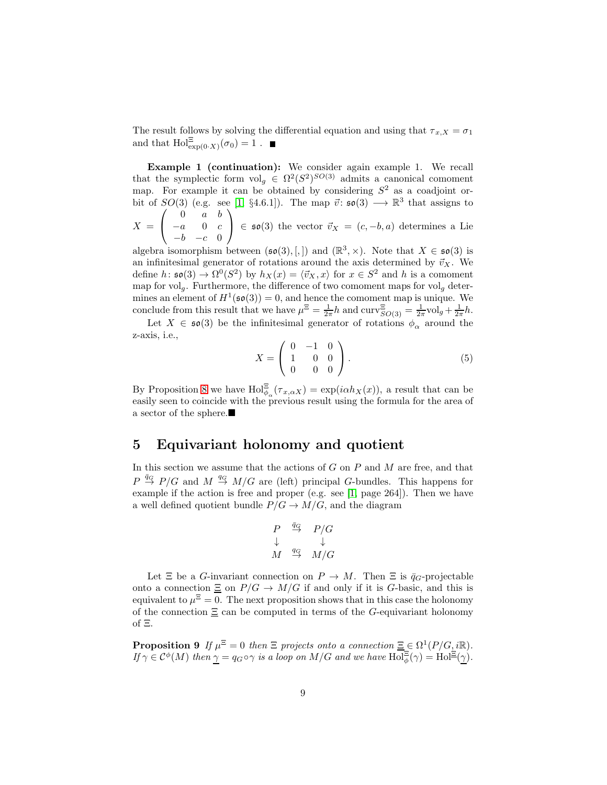The result follows by solving the differential equation and using that  $\tau_{x,X} = \sigma_1$ and that  $\text{Hol}^{\Xi}_{\exp(0 \cdot X)}(\sigma_0) = 1$ .

Example 1 (continuation): We consider again example 1. We recall that the symplectic form  $\mathrm{vol}_g \in \Omega^2(S^2)^{SO(3)}$  admits a canonical comoment map. For example it can be obtained by considering  $S<sup>2</sup>$  as a coadjoint orbit of  $SO(3)$  (e.g. see [\[1,](#page-14-8) §4.6.1]). The map  $\vec{v}$ :  $\mathfrak{so}(3) \longrightarrow \mathbb{R}^3$  that assigns to  $\sqrt{ }$  $0 \quad a \quad b$  $\setminus$ 

 $X =$  $\mathcal{L}$  $-a$  0  $c$  $-b$   $-c$  0  $\in$  50(3) the vector  $\vec{v}_X = (c, -b, a)$  determines a Lie

algebra isomorphism between  $(\mathfrak{so}(3),[,])$  and  $(\mathbb{R}^3,\times)$ . Note that  $X \in \mathfrak{so}(3)$  is an infinitesimal generator of rotations around the axis determined by  $\vec{v}_X$ . We define  $h: \mathfrak{so}(3) \to \Omega^0(S^2)$  by  $h_X(x) = \langle \vec{v}_X, x \rangle$  for  $x \in S^2$  and h is a comoment map for volg. Furthermore, the difference of two comoment maps for volg determines an element of  $H^1(\mathfrak{so}(3)) = 0$ , and hence the comoment map is unique. We conclude from this result that we have  $\mu^{\Xi} = \frac{1}{2\pi}h$  and  $\text{curv}_{SO(3)}^{\Xi} = \frac{1}{2\pi} \text{vol}_g + \frac{1}{2\pi}h$ .

Let  $X \in \mathfrak{so}(3)$  be the infinitesimal generator of rotations  $\phi_{\alpha}$  around the z-axis, i.e.,

<span id="page-8-0"></span>
$$
X = \left(\begin{array}{ccc} 0 & -1 & 0 \\ 1 & 0 & 0 \\ 0 & 0 & 0 \end{array}\right). \tag{5}
$$

By Proposition [8](#page-7-2) we have  $\text{Hol}_{\phi_\alpha}^{\Xi}(\tau_{x,\alpha X}) = \exp(i\alpha h_X(x))$ , a result that can be easily seen to coincide with the previous result using the formula for the area of a sector of the sphere.

#### 5 Equivariant holonomy and quotient

In this section we assume that the actions of  $G$  on  $P$  and  $M$  are free, and that  $P \stackrel{\bar{q}_G}{\rightarrow} P/G$  and  $M \stackrel{q_G}{\rightarrow} M/G$  are (left) principal G-bundles. This happens for example if the action is free and proper (e.g. see [\[1,](#page-14-8) page 264]). Then we have a well defined quotient bundle  $P/G \to M/G$ , and the diagram

$$
\begin{array}{ccc}\nP & \stackrel{\bar{q}_G}{\to} & P/G \\
\downarrow & & \downarrow \\
M & \stackrel{q_G}{\to} & M/G\n\end{array}
$$

Let  $\Xi$  be a G-invariant connection on  $P \to M$ . Then  $\Xi$  is  $\bar{q}_G$ -projectable onto a connection  $\Xi$  on  $P/G \to M/G$  if and only if it is G-basic, and this is equivalent to  $\mu^{\Xi} = 0$ . The next proposition shows that in this case the holonomy of the connection  $\Xi$  can be computed in terms of the G-equivariant holonomy of Ξ.

**Proposition 9** If  $\mu^{\Xi} = 0$  then  $\Xi$  projects onto a connection  $\underline{\Xi} \in \Omega^1(P/G, i\mathbb{R})$ . If  $\gamma \in C^{\phi}(M)$  then  $\gamma = q_G \circ \gamma$  is a loop on  $M/G$  and we have  $\text{Hol}^{\Xi}_{\phi}(\gamma) = \text{Hol}^{\Xi}(\gamma)$ .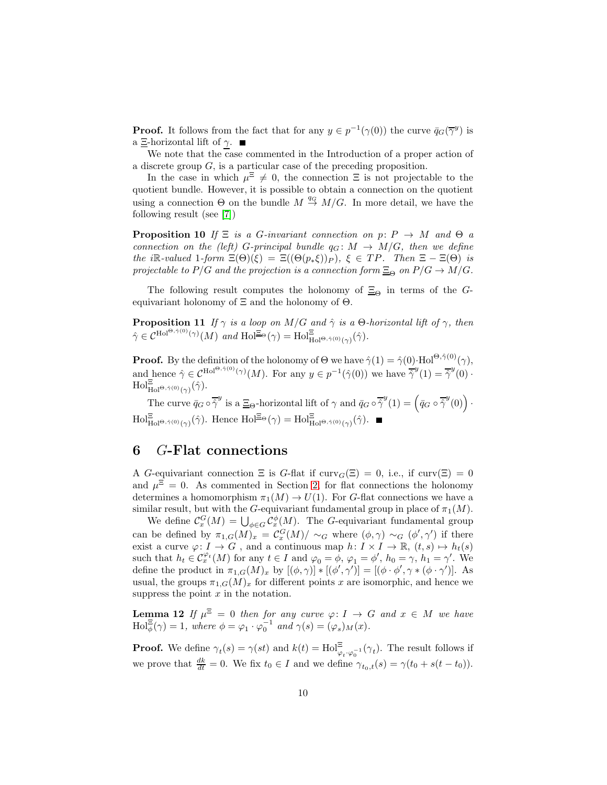**Proof.** It follows from the fact that for any  $y \in p^{-1}(\gamma(0))$  the curve  $\bar{q}_G(\overline{\gamma}^y)$  is a  $\Xi$ -horizontal lift of γ. ■

We note that the case commented in the Introduction of a proper action of a discrete group G, is a particular case of the preceding proposition.

In the case in which  $\mu^{\Xi} \neq 0$ , the connection  $\Xi$  is not projectable to the quotient bundle. However, it is possible to obtain a connection on the quotient using a connection  $\Theta$  on the bundle  $M \stackrel{q_G}{\rightarrow} M/G$ . In more detail, we have the following result (see [\[7\]](#page-14-9))

<span id="page-9-1"></span>**Proposition 10** If  $\Xi$  is a G-invariant connection on p:  $P \rightarrow M$  and  $\Theta$  a connection on the (left) G-principal bundle  $q_G \colon M \to M/G$ , then we define the iR-valued 1-form  $\Xi(\Theta)(\xi) = \Xi((\Theta(p_*\xi))_P)$ ,  $\xi \in TP$ . Then  $\Xi - \Xi(\Theta)$  is projectable to P/G and the projection is a connection form  $\Xi_{\Theta}$  on  $P/G \to M/G$ .

<span id="page-9-2"></span>The following result computes the holonomy of  $\Xi_{\Theta}$  in terms of the Gequivariant holonomy of  $\Xi$  and the holonomy of  $\Theta$ .

**Proposition 11** If  $\gamma$  is a loop on M/G and  $\hat{\gamma}$  is a Θ-horizontal lift of  $\gamma$ , then  $\hat{\gamma} \in C^{\text{Hol}^{\Theta, \hat{\gamma}(0)}(\gamma)}(M)$  and  $\text{Hol}^{\Xi_{\Theta}}(\gamma) = \text{Hol}^{\Xi}_{\text{Hol}^{\Theta, \hat{\gamma}(0)}(\gamma)}(\hat{\gamma}).$ 

**Proof.** By the definition of the holonomy of  $\Theta$  we have  $\hat{\gamma}(1) = \hat{\gamma}(0) \cdot \text{Hol}^{\Theta, \hat{\gamma}(0)}(\gamma)$ , and hence  $\hat{\gamma} \in C^{\text{Hol}^{\Theta, \hat{\gamma}(0)}(\gamma)}(M)$ . For any  $y \in p^{-1}(\hat{\gamma}(0))$  we have  $\hat{\gamma}^y(1) = \hat{\gamma}^y(0)$ .  $\text{Hol}^{\Xi}_{\text{Hol}^{\Theta,\hat{\gamma}(0)}(\gamma)}(\hat{\gamma}).$ 

The curve  $\bar{q}_G \circ \overline{\hat{\gamma}}^y$  is a  $\Xi_{\Theta}$ -horizontal lift of  $\gamma$  and  $\bar{q}_G \circ \overline{\hat{\gamma}}^y(1) = (\bar{q}_G \circ \overline{\hat{\gamma}}^y(0))$ .  $\text{Hol}_{\text{Hol}^{\Xi}\otimes \hat{\gamma}(0)}^{\Xi}(\hat{\gamma})$ . Hence  $\text{Hol}_{\Xi^{\Theta}}^{\Xi}(\gamma) = \text{Hol}_{\text{Hol}^{\Theta},\hat{\gamma}(0)}^{\Xi}(\hat{\gamma})$ .

## <span id="page-9-3"></span>6 G-Flat connections

A G-equivariant connection  $\Xi$  is G-flat if  $\text{curv}_G(\Xi) = 0$ , i.e., if  $\text{curv}(\Xi) = 0$ and  $\mu^{\Xi} = 0$ . As commented in Section [2,](#page-2-2) for flat connections the holonomy determines a homomorphism  $\pi_1(M) \to U(1)$ . For G-flat connections we have a similar result, but with the G-equivariant fundamental group in place of  $\pi_1(M)$ .

We define  $\mathcal{C}_x^G(M) = \bigcup_{\phi \in G} \mathcal{C}_x^{\phi}(M)$ . The G-equivariant fundamental group can be defined by  $\pi_{1,G}(M)_x = \mathcal{C}_x^G(M)/\sim_G \text{ where } (\phi,\gamma) \sim_G (\phi',\gamma')$  if there exist a curve  $\varphi: I \to G$ , and a continuous map  $h: I \times I \to \mathbb{R}$ ,  $(t, s) \mapsto h_t(s)$ such that  $h_t \in C_x^{\varphi_t}(M)$  for any  $t \in I$  and  $\varphi_0 = \phi$ ,  $\varphi_1 = \phi'$ ,  $h_0 = \gamma$ ,  $h_1 = \gamma'$ . We define the product in  $\pi_{1,G}(M)_x$  by  $[(\phi,\gamma)]^*[(\phi',\gamma')] = [(\phi \cdot \phi', \gamma * (\phi \cdot \gamma')]$ . As usual, the groups  $\pi_{1,G}(M)_x$  for different points x are isomorphic, and hence we suppress the point  $x$  in the notation.

<span id="page-9-0"></span>**Lemma 12** If  $\mu^{\Xi} = 0$  then for any curve  $\varphi: I \to G$  and  $x \in M$  we have  $\text{Hol}_{\phi}^{\Xi}(\gamma) = 1$ , where  $\phi = \varphi_1 \cdot \varphi_0^{-1}$  and  $\gamma(s) = (\varphi_s)_M(x)$ .

**Proof.** We define  $\gamma_t(s) = \gamma(st)$  and  $k(t) = \text{Hol}_{\varphi_t \cdot \varphi_0^{-1}}^{\Xi}(\gamma_t)$ . The result follows if we prove that  $\frac{dk}{dt} = 0$ . We fix  $t_0 \in I$  and we define  $\gamma_{t_0,t}(s) = \gamma(t_0 + s(t - t_0))$ .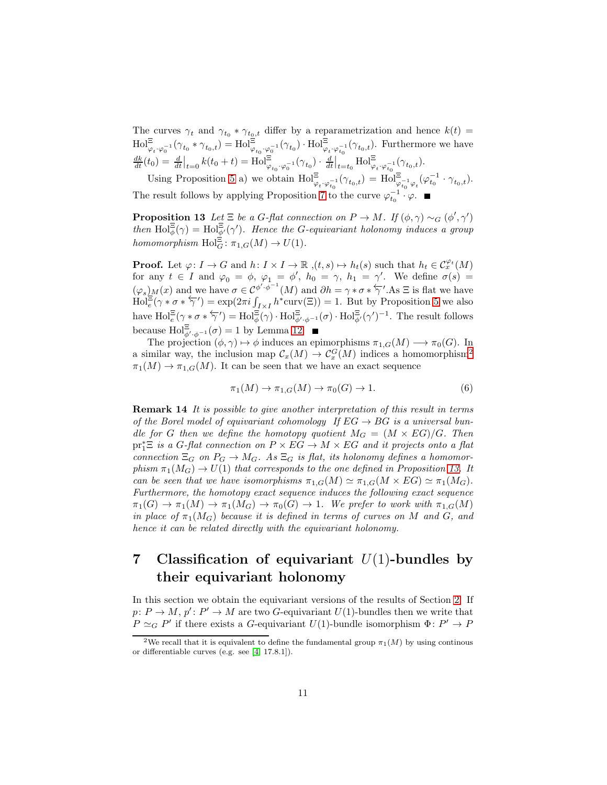The curves  $\gamma_t$  and  $\gamma_{t_0} * \gamma_{t_0,t}$  differ by a reparametrization and hence  $k(t) =$  $\text{Hol}^{\Xi}_{\varphi_t \cdot \varphi_0^{-1}}(\gamma_{t_0} * \gamma_{t_0,t}) = \text{Hol}^{\Xi}_{\varphi_{t_0} \cdot \varphi_0^{-1}}(\gamma_{t_0}) \cdot \text{Hol}^{\Xi}_{\varphi_t \cdot \varphi_{t_0}^{-1}}(\gamma_{t_0,t})$ . Furthermore we have  $\frac{dk}{dt}(t_0) = \frac{d}{dt}\Big|_{t=0} k(t_0+t) = \text{Hol}^{\Xi}_{\varphi_{t_0}\cdot\varphi_0^{-1}}(\gamma_{t_0}) \cdot \frac{d}{dt}\Big|_{t=t_0} \text{Hol}^{\Xi}_{\varphi_t\cdot\varphi_{t_0}^{-1}}(\gamma_{t_0,t}).$ Using Proposition [5](#page-4-1) a) we obtain  $\text{Hol}^{\Xi}_{\varphi_t \cdot \varphi_{t_0}^{-1}}(\gamma_{t_0,t}) = \text{Hol}^{\Xi}_{\varphi_{t_0}^{-1} \varphi_t}(\varphi_{t_0}^{-1} \cdot \gamma_{t_0,t}).$ 

<span id="page-10-1"></span>The result follows by applying Proposition [7](#page-7-1) to the curve  $\varphi_{t_0}^{-1} \cdot \varphi$ .

**Proposition 13** Let  $\Xi$  be a G-flat connection on  $P \to M$ . If  $(\phi, \gamma) \sim_G (\phi', \gamma')$ then  $\text{Hol}_{\phi}^{\Xi}(\gamma) = \text{Hol}_{\phi'}^{\Xi}(\gamma')$ . Hence the G-equivariant holonomy induces a group homomorphism  $\text{Hol}_G^{\Xi} : \pi_{1,G}(M) \to U(1)$ .

**Proof.** Let  $\varphi: I \to G$  and  $h: I \times I \to \mathbb{R}$ ,  $(t, s) \mapsto h_t(s)$  such that  $h_t \in C_x^{\varphi_t}(M)$ for any  $t \in I$  and  $\varphi_0 = \phi$ ,  $\varphi_1 = \phi'$ ,  $h_0 = \gamma$ ,  $h_1 = \gamma'$ . We define  $\sigma(s) =$  $(\varphi_s)$ <sub>M</sub> $(x)$  and we have  $\sigma \in C^{\phi', \phi^{-1}}(M)$  and  $\partial h = \gamma * \sigma * \overleftarrow{\gamma}'$ . As  $\Xi$  is flat we have  $\text{Hol}_{\epsilon}^{r,s}(\gamma * \sigma * \overleftarrow{\gamma'}) = \exp(2\pi i \int_{I \times I} h^* \text{curv}(\Xi)) = 1.$  But by Proposition [5](#page-4-1) we also have  $\text{Hol}_{e}^{\Xi}(\gamma * \sigma * \overleftarrow{\gamma}') = \text{Hol}_{\phi}^{\Xi}(\gamma) \cdot \text{Hol}_{\phi', \phi^{-1}}^{\Xi}(\sigma) \cdot \text{Hol}_{\phi'}^{\Xi}(\gamma')^{-1}$ . The result follows because  $\text{Hol}^{\Xi}_{\phi',\phi^{-1}}(\sigma) = 1$  by Lemma [12.](#page-9-0)

The projection  $(\phi, \gamma) \mapsto \phi$  induces an epimorphisms  $\pi_{1,G}(M) \longrightarrow \pi_0(G)$ . In a similar way, the inclusion map  $C_x(M) \to C_x^G(M)$  indices a homomorphism<sup>[2](#page-10-0)</sup>  $\pi_1(M) \to \pi_{1,G}(M)$ . It can be seen that we have an exact sequence

<span id="page-10-2"></span>
$$
\pi_1(M) \to \pi_{1,G}(M) \to \pi_0(G) \to 1. \tag{6}
$$

Remark 14 It is possible to give another interpretation of this result in terms of the Borel model of equivariant cohomology If  $EG \rightarrow BG$  is a universal bundle for G then we define the homotopy quotient  $M_G = (M \times EG)/G$ . Then  $pr_1^* \Xi$  is a G-flat connection on  $P \times EG \to M \times EG$  and it projects onto a flat connection  $\Xi_G$  on  $P_G \to M_G$ . As  $\Xi_G$  is flat, its holonomy defines a homomorphism  $\pi_1(M_G) \to U(1)$  that corresponds to the one defined in Proposition [13.](#page-10-1) It can be seen that we have isomorphisms  $\pi_{1,G}(M) \simeq \pi_{1,G}(M \times EG) \simeq \pi_1(M_G)$ . Furthermore, the homotopy exact sequence induces the following exact sequence  $\pi_1(G) \to \pi_1(M) \to \pi_1(M_G) \to \pi_0(G) \to 1$ . We prefer to work with  $\pi_{1,G}(M)$ in place of  $\pi_1(M_G)$  because it is defined in terms of curves on M and G, and hence it can be related directly with the equivariant holonomy.

# 7 Classification of equivariant  $U(1)$ -bundles by their equivariant holonomy

In this section we obtain the equivariant versions of the results of Section [2.](#page-2-2) If  $p: P \to M$ ,  $p': P' \to M$  are two G-equivariant  $U(1)$ -bundles then we write that  $P \simeq_G P'$  if there exists a G-equivariant  $U(1)$ -bundle isomorphism  $\Phi: P' \to P$ 

<span id="page-10-0"></span><sup>&</sup>lt;sup>2</sup>We recall that it is equivalent to define the fundamental group  $\pi_1(M)$  by using continous or differentiable curves (e.g. see [\[4,](#page-14-10) 17.8.1]).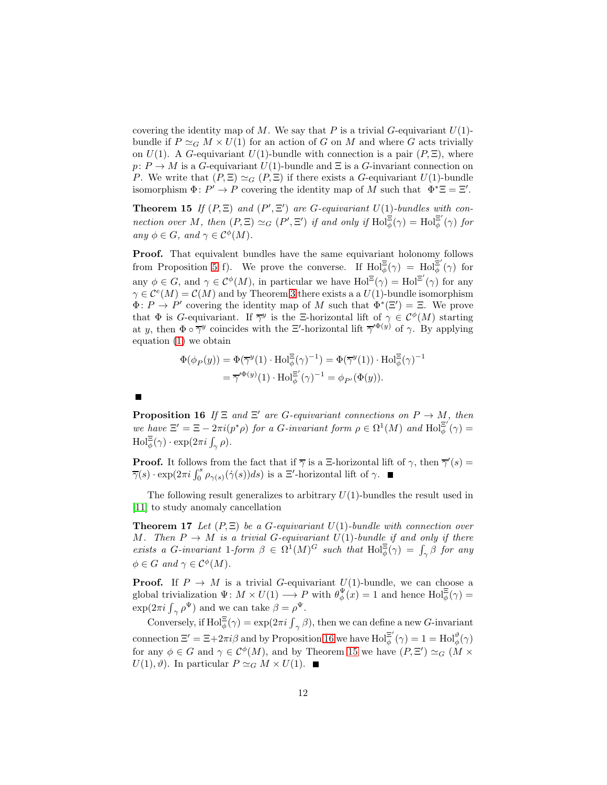covering the identity map of M. We say that P is a trivial G-equivariant  $U(1)$ bundle if  $P \simeq_G M \times U(1)$  for an action of G on M and where G acts trivially on  $U(1)$ . A G-equivariant  $U(1)$ -bundle with connection is a pair  $(P, \Xi)$ , where  $p: P \to M$  is a G-equivariant  $U(1)$ -bundle and  $\Xi$  is a G-invariant connection on P. We write that  $(P, \Xi) \simeq_G (P, \Xi)$  if there exists a G-equivariant  $U(1)$ -bundle isomorphism  $\Phi: P' \to P$  covering the identity map of M such that  $\Phi^* \Xi = \Xi'$ .

<span id="page-11-1"></span>**Theorem 15** If  $(P, \Xi)$  and  $(P', \Xi')$  are G-equivariant  $U(1)$ -bundles with connection over M, then  $(P, \Xi) \simeq_G (P', \Xi')$  if and only if  $\text{Hol}_{\phi}^{\Xi}(\gamma) = \text{Hol}_{\phi}^{\Xi'}$  $\frac{\Xi}{\phi}\left(\gamma\right)$  for any  $\phi \in G$ , and  $\gamma \in C^{\phi}(M)$ .

Proof. That equivalent bundles have the same equivariant holonomy follows from Proposition [5](#page-4-1) f). We prove the converse. If  $\text{Hol}_{\phi}^{\Xi}(\gamma) = \text{Hol}_{\phi}^{\Xi'}$  $\frac{1}{\phi}$   $(\gamma)$  for any  $\phi \in G$ , and  $\gamma \in C^{\phi}(M)$ , in particular we have  $\text{Hol}^{\Xi}(\gamma) = \text{Hol}^{\Xi'}(\gamma)$  for any  $\gamma \in \mathcal{C}^e(M) = \mathcal{C}(M)$  and by Theorem [3](#page-3-1) there exists a a  $U(1)$ -bundle isomorphism  $\Phi: P \to P'$  covering the identity map of M such that  $\overline{\Phi}^*(\Xi') = \Xi$ . We prove that  $\Phi$  is *G*-equivariant. If  $\overline{\gamma}^y$  is the  $\Xi$ -horizontal lift of  $\gamma \in C^{\phi}(M)$  starting at y, then  $\Phi \circ \overline{\gamma}$  coincides with the  $\Xi'$ -horizontal lift  $\overline{\gamma}'^{\Phi(y)}$  of  $\gamma$ . By applying equation [\(1\)](#page-4-0) we obtain

$$
\Phi(\phi_P(y)) = \Phi(\overline{\gamma}^y(1) \cdot \text{Hol}_{\phi}^{\Xi}(\gamma)^{-1}) = \Phi(\overline{\gamma}^y(1)) \cdot \text{Hol}_{\phi}^{\Xi}(\gamma)^{-1}
$$

$$
= \overline{\gamma}'^{\Phi(y)}(1) \cdot \text{Hol}_{\phi}^{\Xi'}(\gamma)^{-1} = \phi_{P'}(\Phi(y)).
$$

**Proposition 16** If  $\Xi$  and  $\Xi'$  are G-equivariant connections on  $P \to M$ , then we have  $\Xi' = \Xi - 2\pi i (p^*\rho)$  for a G-invariant form  $\rho \in \Omega^1(M)$  and  $\text{Hol}^{\Xi'}_{\phi}$  $\frac{1}{\phi }\left( \gamma \right) =% \frac{1}{\left( \frac{\gamma }{\zeta }\right) ^{2}}$  $\text{Hol}_{\phi}^{\Xi}(\gamma) \cdot \exp(2\pi i \int_{\gamma} \rho).$ 

**Proof.** It follows from the fact that if  $\overline{\gamma}$  is a  $\Xi$ -horizontal lift of  $\gamma$ , then  $\overline{\gamma}'(s)$  =  $\overline{\gamma}(s) \cdot \exp(2\pi i \int_0^s \rho_{\gamma(s)}(\dot{\gamma}(s))ds)$  is a  $\Xi'$ -horizontal lift of  $\gamma$ .

<span id="page-11-2"></span>The following result generalizes to arbitrary  $U(1)$ -bundles the result used in [\[11\]](#page-14-3) to study anomaly cancellation

**Theorem 17** Let  $(P, \Xi)$  be a G-equivariant  $U(1)$ -bundle with connection over M. Then  $P \to M$  is a trivial G-equivariant  $U(1)$ -bundle if and only if there exists a G-invariant 1-form  $\beta \in \Omega^1(M)^G$  such that  $\text{Hol}_{\phi}^{\Xi}(\gamma) = \int_{\gamma} \beta$  for any  $\phi \in G$  and  $\gamma \in C^{\phi}(M)$ .

**Proof.** If  $P \to M$  is a trivial G-equivariant  $U(1)$ -bundle, we can choose a global trivialization  $\Psi: M \times U(1) \longrightarrow P$  with  $\theta_{\phi}^{\Psi}(x) = 1$  and hence  $\text{Hol}_{\phi}^{\Xi}(\gamma) =$  $\exp(2\pi i \int_{\gamma} \rho^{\Psi})$  and we can take  $\beta = \rho^{\Psi}$ .

Conversely, if  $\text{Hol}_{\phi}^{\Xi}(\gamma) = \exp(2\pi i \int_{\gamma} \beta)$ , then we can define a new G-invariant connection  $\Xi' = \Xi + 2\pi i \beta$  and by Proposition [16](#page-11-0) we have  $\text{Hol}^{\Xi'}_{\phi}$  $\mathbb{E}^{\prime}(\gamma)=1=\text{Hol}_{\phi}^{\vartheta}(\gamma)$ for any  $\phi \in G$  and  $\gamma \in C^{\phi}(M)$ , and by Theorem [15](#page-11-1) we have  $(P, \Xi') \simeq_G (M \times$  $U(1), \vartheta$ ). In particular  $P \simeq_G M \times U(1)$ . ■

<span id="page-11-0"></span> $\begin{array}{c} \hline \end{array}$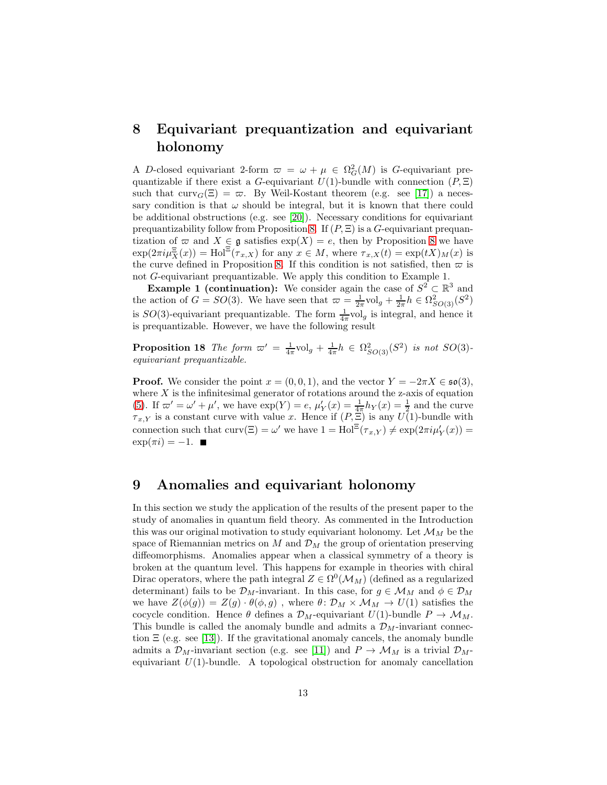# 8 Equivariant prequantization and equivariant holonomy

A D-closed equivariant 2-form  $\varpi = \omega + \mu \in \Omega^2_G(M)$  is G-equivariant prequantizable if there exist a G-equivariant  $U(1)$ -bundle with connection  $(P, \Xi)$ such that  $curv_G(\Xi) = \varpi$ . By Weil-Kostant theorem (e.g. see [\[17\]](#page-15-2)) a necessary condition is that  $\omega$  should be integral, but it is known that there could be additional obstructions (e.g. see [\[20\]](#page-15-4)). Necessary conditions for equivariant prequantizability follow from Proposition [8.](#page-7-2) If  $(P, \Xi)$  is a G-equivariant prequantization of  $\varpi$  and  $X \in \mathfrak{g}$  satisfies  $\exp(X) = e$ , then by Proposition [8](#page-7-2) we have  $\exp(2\pi i \mu_X^{\Xi}(x)) = \text{Hol}^{\Xi}(\tau_{x,X})$  for any  $x \in M$ , where  $\tau_{x,X}(t) = \exp(tX)M(x)$  is the curve defined in Proposition [8.](#page-7-2) If this condition is not satisfied, then  $\varpi$  is not G-equivariant prequantizable. We apply this condition to Example 1.

**Example 1 (continuation):** We consider again the case of  $S^2 \subset \mathbb{R}^3$  and the action of  $G = SO(3)$ . We have seen that  $\omega = \frac{1}{2\pi} \text{vol}_g + \frac{1}{2\pi} h \in \Omega^2_{SO(3)}(S^2)$ is  $SO(3)$ -equivariant prequantizable. The form  $\frac{1}{4\pi}$ vol<sub>g</sub> is integral, and hence it is prequantizable. However, we have the following result

**Proposition 18** The form  $\varpi' = \frac{1}{4\pi} \text{vol}_g + \frac{1}{4\pi} h \in \Omega^2_{SO(3)}(S^2)$  is not  $SO(3)$ equivariant prequantizable.

**Proof.** We consider the point  $x = (0, 0, 1)$ , and the vector  $Y = -2\pi X \in \mathfrak{so}(3)$ , where  $X$  is the infinitesimal generator of rotations around the z-axis of equation [\(5\)](#page-8-0). If  $\omega' = \omega' + \mu'$ , we have  $\exp(Y) = e$ ,  $\mu'_Y(x) = \frac{1}{4\pi} h_Y(x) = \frac{1}{2}$  and the curve  $\tau_{x,Y}$  is a constant curve with value x. Hence if  $(P, \Xi)$  is any  $U(1)$ -bundle with connection such that  $curv(\Xi) = \omega'$  we have  $1 = Hol^{\Xi}(\tau_{x,Y}) \neq exp(2\pi i \mu'_{Y}(x)) =$  $\exp(\pi i) = -1$ .

### <span id="page-12-0"></span>9 Anomalies and equivariant holonomy

In this section we study the application of the results of the present paper to the study of anomalies in quantum field theory. As commented in the Introduction this was our original motivation to study equivariant holonomy. Let  $\mathcal{M}_M$  be the space of Riemannian metrics on M and  $\mathcal{D}_M$  the group of orientation preserving diffeomorphisms. Anomalies appear when a classical symmetry of a theory is broken at the quantum level. This happens for example in theories with chiral Dirac operators, where the path integral  $Z \in \Omega^0(\mathcal{M}_M)$  (defined as a regularized determinant) fails to be  $\mathcal{D}_M$ -invariant. In this case, for  $g \in \mathcal{M}_M$  and  $\phi \in \mathcal{D}_M$ we have  $Z(\phi(g)) = Z(g) \cdot \theta(\phi, g)$ , where  $\theta \colon \mathcal{D}_M \times \mathcal{M}_M \to U(1)$  satisfies the cocycle condition. Hence  $\theta$  defines a  $\mathcal{D}_M$ -equivariant  $U(1)$ -bundle  $P \to \mathcal{M}_M$ . This bundle is called the anomaly bundle and admits a  $\mathcal{D}_M$ -invariant connection  $\Xi$  (e.g. see [\[13\]](#page-14-11)). If the gravitational anomaly cancels, the anomaly bundle admits a  $\mathcal{D}_M$ -invariant section (e.g. see [\[11\]](#page-14-3)) and  $P \to \mathcal{M}_M$  is a trivial  $\mathcal{D}_M$ equivariant  $U(1)$ -bundle. A topological obstruction for anomaly cancellation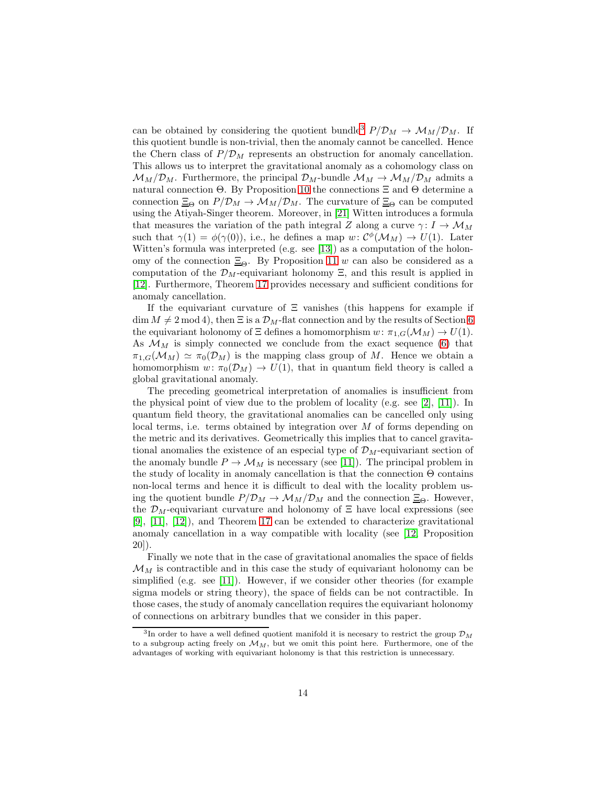can be obtained by considering the quotient bundle<sup>[3](#page-13-0)</sup>  $P/D_M \rightarrow M_M/D_M$ . If this quotient bundle is non-trivial, then the anomaly cannot be cancelled. Hence the Chern class of  $P/D_M$  represents an obstruction for anomaly cancellation. This allows us to interpret the gravitational anomaly as a cohomology class on  $\mathcal{M}_{M}/\mathcal{D}_{M}$ . Furthermore, the principal  $\mathcal{D}_{M}$ -bundle  $\mathcal{M}_{M} \rightarrow \mathcal{M}_{M}/\mathcal{D}_{M}$  admits a natural connection Θ. By Proposition [10](#page-9-1) the connections Ξ and Θ determine a connection  $\Xi_{\Theta}$  on  $P/\mathcal{D}_M \to \mathcal{M}_M/\mathcal{D}_M$ . The curvature of  $\Xi_{\Theta}$  can be computed using the Atiyah-Singer theorem. Moreover, in [\[21\]](#page-15-5) Witten introduces a formula that measures the variation of the path integral Z along a curve  $\gamma: I \to \mathcal{M}_M$ such that  $\gamma(1) = \phi(\gamma(0))$ , i.e., he defines a map  $w: C^{\phi}(\mathcal{M}_M) \to U(1)$ . Later Witten's formula was interpreted (e.g. see [\[13\]](#page-14-11)) as a computation of the holonomy of the connection  $\Xi_{\Theta}$ . By Proposition [11](#page-9-2) w can also be considered as a computation of the  $\mathcal{D}_M$ -equivariant holonomy  $\Xi$ , and this result is applied in [\[12\]](#page-14-12). Furthermore, Theorem [17](#page-11-2) provides necessary and sufficient conditions for anomaly cancellation.

If the equivariant curvature of  $\Xi$  vanishes (this happens for example if  $\dim M \neq 2 \mod 4$ , then  $\Xi$  is a  $\mathcal{D}_M$ -flat connection and by the results of Section [6](#page-9-3) the equivariant holonomy of  $\Xi$  defines a homomorphism  $w: \pi_{1,G}(\mathcal{M}_M) \to U(1)$ . As  $\mathcal{M}_M$  is simply connected we conclude from the exact sequence [\(6\)](#page-10-2) that  $\pi_{1,G}(\mathcal{M}_M) \simeq \pi_0(\mathcal{D}_M)$  is the mapping class group of M. Hence we obtain a homomorphism  $w: \pi_0(\mathcal{D}_M) \to U(1)$ , that in quantum field theory is called a global gravitational anomaly.

The preceding geometrical interpretation of anomalies is insufficient from the physical point of view due to the problem of locality (e.g. see [\[2\]](#page-14-13), [\[11\]](#page-14-3)). In quantum field theory, the gravitational anomalies can be cancelled only using local terms, i.e. terms obtained by integration over M of forms depending on the metric and its derivatives. Geometrically this implies that to cancel gravitational anomalies the existence of an especial type of  $\mathcal{D}_M$ -equivariant section of the anomaly bundle  $P \to M_M$  is necessary (see [\[11\]](#page-14-3)). The principal problem in the study of locality in anomaly cancellation is that the connection  $\Theta$  contains non-local terms and hence it is difficult to deal with the locality problem using the quotient bundle  $P/\mathcal{D}_M \to \mathcal{M}_M/\mathcal{D}_M$  and the connection  $\Xi_{\Theta}$ . However, the  $\mathcal{D}_M$ -equivariant curvature and holonomy of  $\Xi$  have local expressions (see [\[9\]](#page-14-14), [\[11\]](#page-14-3), [\[12\]](#page-14-12)), and Theorem [17](#page-11-2) can be extended to characterize gravitational anomaly cancellation in a way compatible with locality (see [\[12,](#page-14-12) Proposition 20]).

Finally we note that in the case of gravitational anomalies the space of fields  $\mathcal{M}_M$  is contractible and in this case the study of equivariant holonomy can be simplified (e.g. see [\[11\]](#page-14-3)). However, if we consider other theories (for example sigma models or string theory), the space of fields can be not contractible. In those cases, the study of anomaly cancellation requires the equivariant holonomy of connections on arbitrary bundles that we consider in this paper.

<span id="page-13-0"></span><sup>&</sup>lt;sup>3</sup>In order to have a well defined quotient manifold it is necesary to restrict the group  $\mathcal{D}_M$ to a subgroup acting freely on  $\mathcal{M}_M$ , but we omit this point here. Furthermore, one of the advantages of working with equivariant holonomy is that this restriction is unnecessary.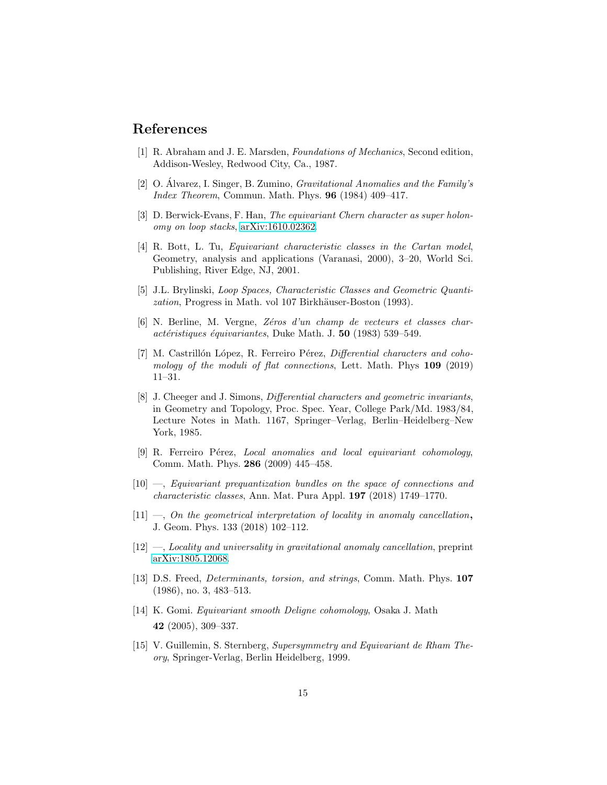### <span id="page-14-8"></span>References

- <span id="page-14-13"></span>[1] R. Abraham and J. E. Marsden, Foundations of Mechanics, Second edition, Addison-Wesley, Redwood City, Ca., 1987.
- <span id="page-14-4"></span>[2] O. Alvarez, I. Singer, B. Zumino,  $Gravitational Anomalies$  and the Family's Index Theorem, Commun. Math. Phys. 96 (1984) 409–417.
- <span id="page-14-10"></span>[3] D. Berwick-Evans, F. Han, The equivariant Chern character as super holonomy on loop stacks, [arXiv:1610.02362.](http://arxiv.org/abs/1610.02362)
- [4] R. Bott, L. Tu, Equivariant characteristic classes in the Cartan model, Geometry, analysis and applications (Varanasi, 2000), 3–20, World Sci. Publishing, River Edge, NJ, 2001.
- <span id="page-14-7"></span>[5] J.L. Brylinski, Loop Spaces, Characteristic Classes and Geometric Quantization, Progress in Math. vol 107 Birkhäuser-Boston (1993).
- <span id="page-14-1"></span>[6] N. Berline, M. Vergne, Z´eros d'un champ de vecteurs et classes char $actéristiques$  équivariantes, Duke Math. J. 50 (1983) 539–549.
- <span id="page-14-9"></span>[7] M. Castrillón López, R. Ferreiro Pérez, Differential characters and cohomology of the moduli of flat connections, Lett. Math. Phys 109 (2019) 11–31.
- <span id="page-14-5"></span>[8] J. Cheeger and J. Simons, Differential characters and geometric invariants, in Geometry and Topology, Proc. Spec. Year, College Park/Md. 1983/84, Lecture Notes in Math. 1167, Springer–Verlag, Berlin–Heidelberg–New York, 1985.
- <span id="page-14-14"></span>[9] R. Ferreiro Pérez, Local anomalies and local equivariant cohomology, Comm. Math. Phys. 286 (2009) 445–458.
- <span id="page-14-6"></span>[10] —, Equivariant prequantization bundles on the space of connections and characteristic classes, Ann. Mat. Pura Appl. 197 (2018) 1749–1770.
- <span id="page-14-3"></span> $[11]$  —, On the geometrical interpretation of locality in anomaly cancellation, J. Geom. Phys. 133 (2018) 102–112.
- <span id="page-14-12"></span><span id="page-14-11"></span>[12] —, Locality and universality in gravitational anomaly cancellation, preprint [arXiv:1805.12068.](http://arxiv.org/abs/1805.12068)
- [13] D.S. Freed, Determinants, torsion, and strings, Comm. Math. Phys. 107 (1986), no. 3, 483–513.
- <span id="page-14-2"></span>[14] K. Gomi. Equivariant smooth Deligne cohomology, Osaka J. Math 42 (2005), 309–337.
- <span id="page-14-0"></span>[15] V. Guillemin, S. Sternberg, Supersymmetry and Equivariant de Rham Theory, Springer-Verlag, Berlin Heidelberg, 1999.